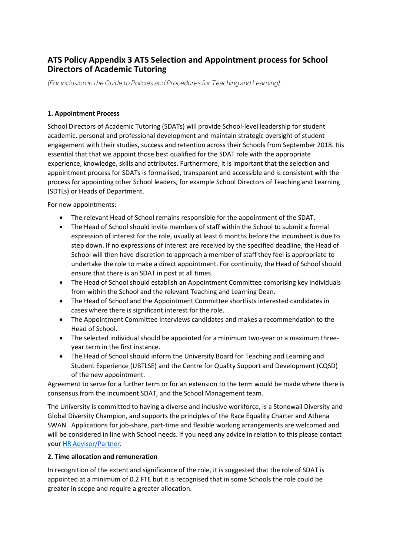## **ATS Policy Appendix 3 ATS Selection and Appointment process for School Directors of Academic Tutoring**

*(For inclusion in the Guide to Policies and Procedures for Teaching and Learning).*

## **1. Appointment Process**

School Directors of Academic Tutoring (SDATs) will provide School-level leadership for student academic, personal and professional development and maintain strategic oversight of student engagement with their studies, success and retention across their Schools from September 2018. Itis essential that that we appoint those best qualified for the SDAT role with the appropriate experience, knowledge, skills and attributes. Furthermore, it is important that the selection and appointment process for SDATs is formalised, transparent and accessible and is consistent with the process for appointing other School leaders, for example School Directors of Teaching and Learning (SDTLs) or Heads of Department.

For new appointments:

- The relevant Head of School remains responsible for the appointment of the SDAT.
- The Head of School should invite members of staff within the School to submit a formal expression of interest for the role, usually at least 6 months before the incumbent is due to step down. If no expressions of interest are received by the specified deadline, the Head of School will then have discretion to approach a member of staff they feel is appropriate to undertake the role to make a direct appointment. For continuity, the Head of School should ensure that there is an SDAT in post at all times.
- The Head of School should establish an Appointment Committee comprising key individuals from within the School and the relevant Teaching and Learning Dean.
- The Head of School and the Appointment Committee shortlists interested candidates in cases where there is significant interest for the role.
- The Appointment Committee interviews candidates and makes a recommendation to the Head of School.
- The selected individual should be appointed for a minimum two-year or a maximum threeyear term in the first instance.
- The Head of School should inform the University Board for Teaching and Learning and Student Experience (UBTLSE) and the Centre for Quality Support and Development (CQSD) of the new appointment.

Agreement to serve for a further term or for an extension to the term would be made where there is consensus from the incumbent SDAT, and the School Management team.

The University is committed to having a diverse and inclusive workforce, is a Stonewall Diversity and Global Diversity Champion, and supports the principles of the Race Equality Charter and Athena SWAN. Applications for job-share, part-time and flexible working arrangements are welcomed and will be considered in line with School needs. If you need any advice in relation to this please contact your [HR Advisor/Partner.](http://www.reading.ac.uk/internal/humanresources/aboutus/humres-professionalandadvisory.aspx)

## **2. Time allocation and remuneration**

In recognition of the extent and significance of the role, it is suggested that the role of SDAT is appointed at a minimum of 0.2 FTE but it is recognised that in some Schools the role could be greater in scope and require a greater allocation.